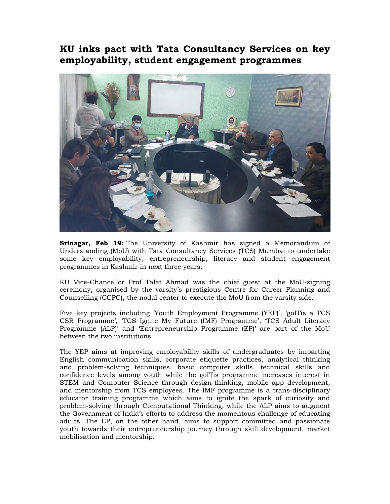## **KU inks pact with Tata Consultancy Services on key employability, student engagement programmes**



**Srinagar, Feb 19:** The University of Kashmir has signed a Memorandum of Understanding (MoU) with Tata Consultancy Services (TCS) Mumbai to undertake some key employability, entrepreneurship, literacy and student engagement programmes in Kashmir in next three years.

KU Vice-Chancellor Prof Talat Ahmad was the chief guest at the MoU-signing ceremony, organised by the varsity's prestigious Centre for Career Planning and Counselling (CCPC), the nodal center to execute the MoU from the varsity side.

Five key projects including 'Youth Employment Programme (YEP)', 'goITis a TCS CSR Programme', 'TCS Ignite My Future (IMF) Programme', 'TCS Adult Literacy Programme (ALP)' and 'Entrepreneurship Programme (EP)' are part of the MoU between the two institutions.

The YEP aims at improving employability skills of undergraduates by imparting English communication skills, corporate etiquette practices, analytical thinking and problem-solving techniques, basic computer skills, technical skills and confidence levels among youth while the goITis programme increases interest in STEM and Computer Science through design-thinking, mobile app development, and mentorship from TCS employees. The IMF programme is a trans-disciplinary educator training programme which aims to ignite the spark of curiosity and problem-solving through Computational Thinking, while the ALP aims to augment the Government of India's efforts to address the momentous challenge of educating adults. The EP, on the other hand, aims to support committed and passionate youth towards their entrepreneurship journey through skill development, market mobilisation and mentorship.